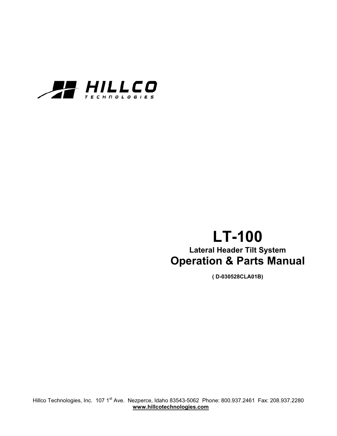

# **LT-100 Lateral Header Tilt System Operation & Parts Manual**

**( D-030528CLA01B)** 

Hillco Technologies, Inc. 107 1<sup>st</sup> Ave. Nezperce, Idaho 83543-5062 Phone: 800.937.2461 Fax: 208.937.2280 **www.hillcotechnologies.com**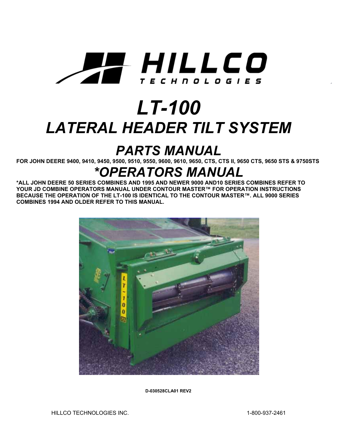

# *LT-100 LATERAL HEADER TILT SYSTEM*

# *PARTS MANUAL*

**FOR JOHN DEERE 9400, 9410, 9450, 9500, 9510, 9550, 9600, 9610, 9650, CTS, CTS II, 9650 CTS, 9650 STS & 9750STS**

# *\*OPERATORS MANUAL*

**\*ALL JOHN DEERE 50 SERIES COMBINES AND 1995 AND NEWER 9000 AND10 SERIES COMBINES REFER TO YOUR JD COMBINE OPERATORS MANUAL UNDER CONTOUR MASTER™ FOR OPERATION INSTRUCTIONS BECAUSE THE OPERATION OF THE LT-100 IS IDENTICAL TO THE CONTOUR MASTER™. ALL 9000 SERIES COMBINES 1994 AND OLDER REFER TO THIS MANUAL.**



**D-030528CLA01 REV2**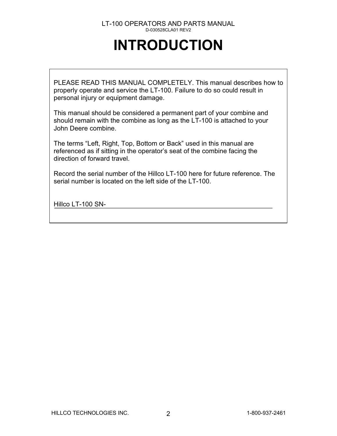# **INTRODUCTION**

PLEASE READ THIS MANUAL COMPLETELY. This manual describes how to properly operate and service the LT-100. Failure to do so could result in personal injury or equipment damage.

This manual should be considered a permanent part of your combine and should remain with the combine as long as the LT-100 is attached to your John Deere combine.

The terms "Left, Right, Top, Bottom or Back" used in this manual are referenced as if sitting in the operator's seat of the combine facing the direction of forward travel.

Record the serial number of the Hillco LT-100 here for future reference. The serial number is located on the left side of the LT-100.

Hillco LT-100 SN-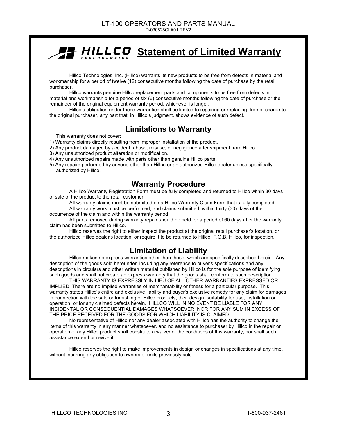# **Statement of Limited Warranty**

Hillco Technologies, Inc. (Hillco) warrants its new products to be free from defects in material and workmanship for a period of twelve (12) consecutive months following the date of purchase by the retail purchaser.

Hillco warrants genuine Hillco replacement parts and components to be free from defects in material and workmanship for a period of six (6) consecutive months following the date of purchase or the remainder of the original equipment warranty period, whichever is longer.

Hillco's obligation under these warranties shall be limited to repairing or replacing, free of charge to the original purchaser, any part that, in Hillco's judgment, shows evidence of such defect.

### **Limitations to Warranty**

This warranty does not cover:

- 1) Warranty claims directly resulting from improper installation of the product.
- 2) Any product damaged by accident, abuse, misuse, or negligence after shipment from Hillco.
- 3) Any unauthorized product alteration or modification.
- 4) Any unauthorized repairs made with parts other than genuine Hillco parts.
- 5) Any repairs performed by anyone other than Hillco or an authorized Hillco dealer unless specifically authorized by Hillco.

### **Warranty Procedure**

A Hillco Warranty Registration Form must be fully completed and returned to Hillco within 30 days of sale of the product to the retail customer.

All warranty claims must be submitted on a Hillco Warranty Claim Form that is fully completed. All warranty work must be performed, and claims submitted, within thirty (30) days of the

occurrence of the claim and within the warranty period.

All parts removed during warranty repair should be held for a period of 60 days after the warranty claim has been submitted to Hillco.

Hillco reserves the right to either inspect the product at the original retail purchaser's location, or the authorized Hillco dealer's location; or require it to be returned to Hillco, F.O.B. Hillco, for inspection.

### **Limitation of Liability**

Hillco makes no express warranties other than those, which are specifically described herein. Any description of the goods sold hereunder, including any reference to buyer's specifications and any descriptions in circulars and other written material published by Hillco is for the sole purpose of identifying such goods and shall not create an express warranty that the goods shall conform to such description.

THIS WARRANTY IS EXPRESSLY IN LIEU OF ALL OTHER WARRANTIES EXPRESSED OR IMPLIED. There are no implied warranties of merchantability or fitness for a particular purpose. This warranty states Hillco's entire and exclusive liability and buyer's exclusive remedy for any claim for damages in connection with the sale or furnishing of Hillco products, their design, suitability for use, installation or operation, or for any claimed defects herein. HILLCO WILL IN NO EVENT BE LIABLE FOR ANY INCIDENTAL OR CONSEQUENTIAL DAMAGES WHATSOEVER, NOR FOR ANY SUM IN EXCESS OF THE PRICE RECEIVED FOR THE GOODS FOR WHICH LIABILITY IS CLAIMED.

No representative of Hillco nor any dealer associated with Hillco has the authority to change the items of this warranty in any manner whatsoever, and no assistance to purchaser by Hillco in the repair or operation of any Hillco product shall constitute a waiver of the conditions of this warranty, nor shall such assistance extend or revive it.

Hillco reserves the right to make improvements in design or changes in specifications at any time, without incurring any obligation to owners of units previously sold.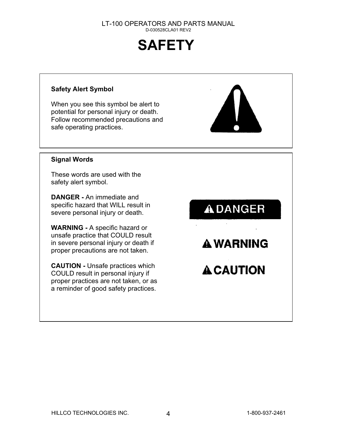# **SAFETY**

#### **Safety Alert Symbol**

When you see this symbol be alert to potential for personal injury or death. Follow recommended precautions and safe operating practices.



#### **Signal Words**

These words are used with the safety alert symbol.

**DANGER -** An immediate and specific hazard that WILL result in severe personal injury or death.

**WARNING -** A specific hazard or unsafe practice that COULD result in severe personal injury or death if proper precautions are not taken.

**CAUTION -** Unsafe practices which COULD result in personal injury if proper practices are not taken, or a s a reminder of good safety prac tices.

**ADANGER** 

**A WARNING** 

**A CAUTION**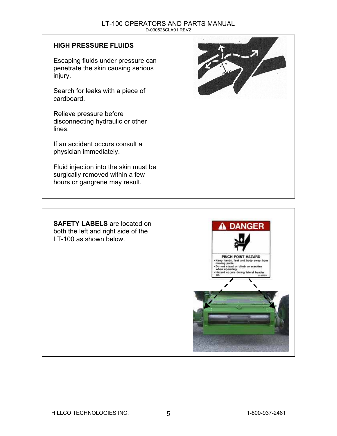#### **HIGH PRESSURE FLUIDS**

Escaping fluids under pressure can penetrate the skin causing serious injury.

Search for leaks with a piece of cardboard.

Relieve pressure before disconnecting hydraulic or other lines.

If an accident occurs consult a physician immediately.

Fluid injection into the skin must be surgically removed within a few hours or gangrene may result.



**SAFETY LABELS** are located on both the left and right side of the LT-100 as shown below.

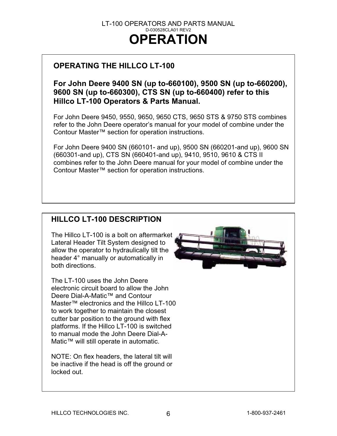# **OPERATING THE HILLCO LT-100**

### **For John Deere 9400 SN (up to-660100), 9500 SN (up to-660200), 9600 SN (up to-660300), CTS SN (up to-660400) refer to this Hillco LT-100 Operators & Parts Manual.**

For John Deere 9450, 9550, 9650, 9650 CTS, 9650 STS & 9750 STS combines refer to the John Deere operator's manual for your model of combine under the Contour Master™ section for operation instructions.

For John Deere 9400 SN (660101- and up), 9500 SN (660201-and up), 9600 SN (660301-and up), CTS SN (660401-and up), 9410, 9510, 9610 & CTS II combines refer to the John Deere manual for your model of combine under the Contour Master™ section for operation instructions.

# **HILLCO LT-100 DESCRIPTION**

The Hillco LT-100 is a bolt on aftermarket Lateral Header Tilt System designed to allow the operator to hydraulically tilt the header 4° manually or automatically in both directions.

The LT-100 uses the John Deere electronic circuit board to allow the John Deere Dial-A-Matic™ and Contour Master™ electronics and the Hillco LT-100 to work together to maintain the closest cutter bar position to the ground with flex platforms. If the Hillco LT-100 is switched to manual mode the John Deere Dial-A-Matic™ will still operate in automatic.

NOTE: On flex headers, the lateral tilt will be inactive if the head is off the ground or locked out.

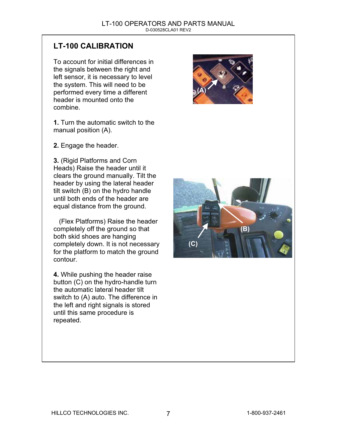# **LT-100 CALIBRATION**

To account for initial differences in the signals between the right and left sensor, it is necessary to level the system. This will need to be performed every time a different header is mounted onto the combine.

**1.** Turn the automatic switch to the manual position (A).

**2.** Engage the header.

**3.** (Rigid Platforms and Corn Heads) Raise the header until it clears the ground manually. Tilt the header by using the lateral header tilt switch (B) on the hydro handle until both ends of the header are equal distance from the ground.

 (Flex Platforms) Raise the header completely off the ground so that both skid shoes are hanging completely down. It is not n ecessary for the platform to match the ground contour.

**4.** While pushing the header raise button (C) on the hydro-handle turn the automatic lateral header tilt switch to (A) auto. The difference in the left and right signals is stored until this same procedure is repeated.



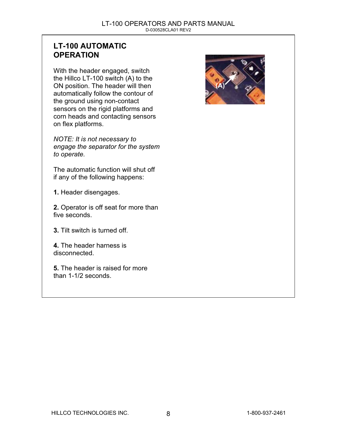# **LT-100 AUTOMATIC OPERATION**

With the header engaged, switch the Hillco LT-100 switch (A) to the ON position. The header will then automatically follow the contour of the ground using non-contact sensors on the rigid platforms and corn heads and contacting sensors on flex platforms.

*NOTE: It is not necessary to engage the separator for the s ystem to operate.* 

The automatic function will shut off if any of the following happens:

**1.** Header disengages.

**2.** Operator is off seat for more than five seconds.

**3.** Tilt switch is turned off.

**4.** The header harness is disconnected.

**5.** The header is raised for more than 1-1/2 seconds.

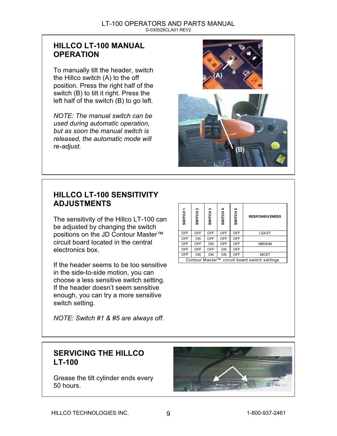## **HILLCO LT-100 MANUAL OPERATION**

To manually tilt the header, switch the Hillco switch (A) to the off position. Press the right half of the switch (B) to tilt it right. Press the left half of the switch (B) to go left.

*NOTE: The manual switch can be used during automatic operation, but as soon the manual switch is released, the automatic mode will re-adjust.*



# **HILLCO LT-100 SENSITIVITY ADJUSTMENTS**

The sensitivity of the Hillco LT-100 can be adjusted by changing the switch positions on the JD Contour Master™ circuit board located in the central electronics box.

If the header seems to be too sensitive in the side-to-side motion, you can choose a less sensitive switch setting. If the header doesn't seem sensitive enough, you can try a more sensitive switch setting.

**RESPONSIVENESS** OFF OFF OFF OFF LEAST OFF ON OFF OFF OFF OFF OFF ON OFF OFF MEDIUM OFF OFF OFF ON OFF OFF | ON | ON | OFF | MOST Contour Master™ circuit board switch settings

*NOTE: Switch #1 & #5 are always off.* 

## **SERVICING THE HILLCO LT-100**

Grease the tilt cylinder ends every 50 hours.

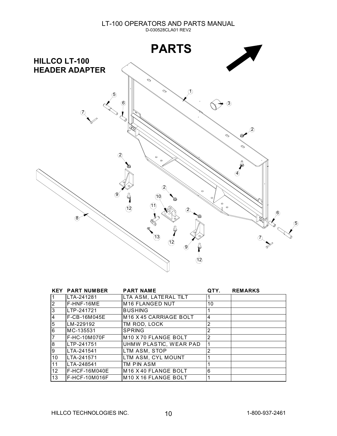

|                | <b>KEY PART NUMBER</b> | <b>PART NAME</b>                            | QTY.           | <b>REMARKS</b> |
|----------------|------------------------|---------------------------------------------|----------------|----------------|
|                | LTA-241281             | LTA ASM, LATERAL TILT                       |                |                |
| <u> 2</u>      | IF-HNF-16ME            | <b>M16 FLANGED NUT</b>                      | 10             |                |
| 3              | LTP-241721             | <b>BUSHING</b>                              | 1              |                |
| 14             | F-CB-16M045E           | M16 X 45 CARRIAGE BOLT                      | 4              |                |
| $\overline{5}$ | LM-229192              | TM ROD. LOCK                                | $\overline{2}$ |                |
| 16             | IMC-135531             | <b>SPRING</b>                               | 2              |                |
| 17             | F-HC-10M070F           | M <sub>10</sub> X <sub>70</sub> FLANGE BOLT | 2              |                |
| 8              | LTP-241751             | UHMW PLASTIC, WEAR PAD                      | 1              |                |
| 9              | LTA-241541             | LTM ASM, STOP                               | 2              |                |
| 10             | LTA-241571             | LTM ASM, CYL MOUNT                          |                |                |
| 11             | LTA-248541             | TM PIN ASM                                  |                |                |
| 12             | IF-HCF-16M040E         | M <sub>16</sub> X <sub>40</sub> FLANGE BOLT | 6              |                |
| 13             | F-HCF-10M016F          | M <sub>10</sub> X <sub>16</sub> FLANGE BOLT |                |                |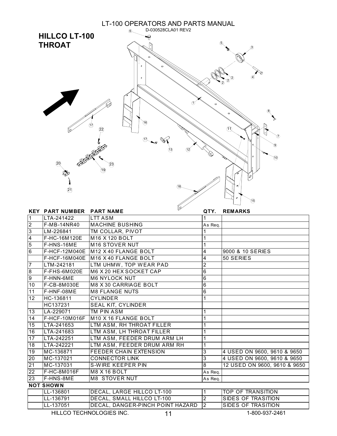

|                  | uz.                                            | QTY.                                                                                                                                                                                                                                                                                                                        | <b>REMARKS</b>               |
|------------------|------------------------------------------------|-----------------------------------------------------------------------------------------------------------------------------------------------------------------------------------------------------------------------------------------------------------------------------------------------------------------------------|------------------------------|
| LTA-241422       | <b>LTT ASM</b>                                 | 1                                                                                                                                                                                                                                                                                                                           |                              |
|                  |                                                | As Reg.                                                                                                                                                                                                                                                                                                                     |                              |
| LM-226841        |                                                |                                                                                                                                                                                                                                                                                                                             |                              |
| F-HC-16M120E     | M <sub>16</sub> X 120 BOLT                     | 1                                                                                                                                                                                                                                                                                                                           |                              |
| F-HNS-16ME       | M16 STOVER NUT                                 |                                                                                                                                                                                                                                                                                                                             |                              |
|                  |                                                | 4                                                                                                                                                                                                                                                                                                                           | 9000 & 10 SERIES             |
| F-HCF-16M040E    | IM16 X 40 FLANGE BOLT                          | 4                                                                                                                                                                                                                                                                                                                           | 50 SERIES                    |
| LTM-242181       | LTM UHMW, TOP WEAR PAD                         | $\overline{2}$                                                                                                                                                                                                                                                                                                              |                              |
| F-FHS-6M020E     | M6 X 20 HEX SOCKET CAP                         | 6                                                                                                                                                                                                                                                                                                                           |                              |
| F-HNN-6ME        | <b>M6 NYLOCK NUT</b>                           | 6                                                                                                                                                                                                                                                                                                                           |                              |
| F-CB-8M030E      | <b>M8 X 30 CARRIAGE BOLT</b>                   | 6                                                                                                                                                                                                                                                                                                                           |                              |
| F-HNF-08ME       | <b>M8 FLANGE NUTS</b>                          | 6                                                                                                                                                                                                                                                                                                                           |                              |
| HC-136811        | <b>CYLINDER</b>                                | 1                                                                                                                                                                                                                                                                                                                           |                              |
| HC137231         |                                                |                                                                                                                                                                                                                                                                                                                             |                              |
| LA-229071        | TM PIN ASM                                     |                                                                                                                                                                                                                                                                                                                             |                              |
| F-HCF-10M016F    |                                                |                                                                                                                                                                                                                                                                                                                             |                              |
| LTA-241653       | LTM ASM, RH THROAT FILLER                      |                                                                                                                                                                                                                                                                                                                             |                              |
| LTA-241683       |                                                |                                                                                                                                                                                                                                                                                                                             |                              |
| LTA-242251       | LTM ASM, FEEDER DRUM ARM LH                    |                                                                                                                                                                                                                                                                                                                             |                              |
| LTA-242221       |                                                |                                                                                                                                                                                                                                                                                                                             |                              |
| MC-136871        | <b>FEEDER CHAIN EXTENSION</b>                  | 3                                                                                                                                                                                                                                                                                                                           | 4 USED ON 9600, 9610 & 9650  |
| MC-137021        | <b>CONNECTOR LINK</b>                          | 3                                                                                                                                                                                                                                                                                                                           | 4 USED ON 9600, 9610 & 9650  |
|                  | <b>S-WIRE KEEPER PIN</b>                       |                                                                                                                                                                                                                                                                                                                             | 12 USED ON 9600, 9610 & 9650 |
|                  |                                                | As Req.                                                                                                                                                                                                                                                                                                                     |                              |
| F-HNS-8ME        |                                                | As Req.                                                                                                                                                                                                                                                                                                                     |                              |
| <b>NOT SHOWN</b> |                                                |                                                                                                                                                                                                                                                                                                                             |                              |
| LL-136801        |                                                | 1                                                                                                                                                                                                                                                                                                                           | TOP OF TRANSITION            |
| LL-136791        | DECAL, SMALL HILLCO LT-100                     | $\overline{2}$                                                                                                                                                                                                                                                                                                              | <b>SIDES OF TRASITION</b>    |
| LL-137051        | DECAL, DANGER-PINCH POINT HAZARD               | $\overline{2}$                                                                                                                                                                                                                                                                                                              | <b>SIDES OF TRASITION</b>    |
|                  | <b>F-MB-14NR40</b><br>MC-137031<br>F-HC-8M016F | <b>KEY PART NUMBER PART NAME</b><br><b>MACHINE BUSHING</b><br>TM COLLAR, PIVOT<br>F-HCF-12M040E M12 X 40 FLANGE BOLT<br><b>SEAL KIT, CYLINDER</b><br>M <sub>10</sub> X <sub>16</sub> FLANGE BOLT<br>LTM ASM, LH THROAT FILLER<br>LTM ASM, FEEDER DRUM ARM RH<br>M8 X 16 BOLT<br>M8 STOVER NUT<br>DECAL, LARGE HILLCO LT-100 | $\overline{8}$               |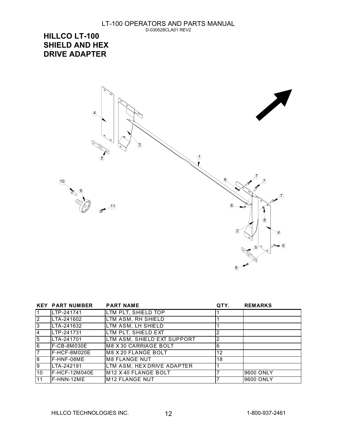**HILLCO LT-100 SHIELD AND HEX DRIVE ADAPTER** 



|                 | <b>KEY PART NUMBER</b> | <b>PART NAME</b>            | QTY. | <b>REMARKS</b> |
|-----------------|------------------------|-----------------------------|------|----------------|
| 11              | ILTP-241741            | LTM PLT, SHIELD TOP         |      |                |
| $\sqrt{2}$      | LTA-241602             | LTM ASM, RH SHIELD          |      |                |
| $\sqrt{3}$      | LTA-241632             | LTM ASM, LH SHIELD          |      |                |
| 14              | LTP-241731             | LTM PLT, SHIELD EXT         |      |                |
| $\overline{5}$  | LTA-241701             | LTM ASM, SHIELD EXT SUPPORT |      |                |
| $\overline{6}$  | F-CB-8M030E            | M8 X 30 CARRIAGE BOLT       | 6    |                |
| 17              | F-HCF-8M020E           | IM8 X 20 FLANGE BOLT        | 12   |                |
| $\overline{8}$  | IF-HNF-08ME            | IM8 FLANGE NUT              | 18   |                |
| 9               | LTA-242191             | LTM ASM, HEX DRIVE ADAPTER  |      |                |
| $\overline{10}$ | IF-HCF-12M040E         | M12 X 40 FLANGE BOLT        |      | 19600 ONLY     |
| $\overline{11}$ | IF-HNN-12ME            | IM12 FLANGE NUT             |      | 19600 ONLY     |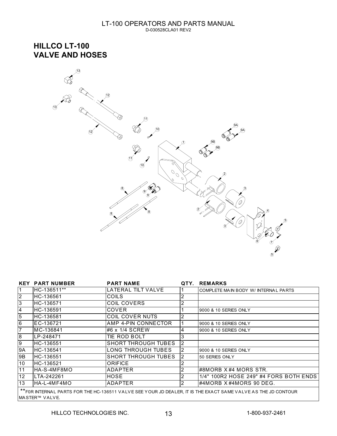**HILLCO LT-100 VALVE AND HOSES** 



|                                                                                                                                   | <b>KEY PART NUMBER</b> | <b>PART NAME</b>           |  | QTY. REMARKS                           |
|-----------------------------------------------------------------------------------------------------------------------------------|------------------------|----------------------------|--|----------------------------------------|
|                                                                                                                                   | IHC-136511**           | LATERAL TILT VALVE         |  | COMPLETE MAIN BODY W/ INTERNAL PARTS   |
| $\overline{2}$                                                                                                                    | HC-136561              | <b>COILS</b>               |  |                                        |
| $\overline{3}$                                                                                                                    | HC-136571              | <b>COIL COVERS</b>         |  |                                        |
| $\overline{4}$                                                                                                                    | HC-136591              | <b>COVER</b>               |  | 9000 & 10 SERIES ONLY                  |
| $\overline{5}$                                                                                                                    | HC-136581              | COIL COVER NUTS            |  |                                        |
| $\overline{6}$                                                                                                                    | EC-136721              | AMP 4-PIN CONNECTOR        |  | 9000 & 10 SERIES ONLY                  |
|                                                                                                                                   | MC-136841              | l#6 x 1/4 SCREW            |  | 9000 & 10 SERIES ONLY                  |
| 8                                                                                                                                 | LP-248471              | TIE ROD BOLT               |  |                                        |
| 9                                                                                                                                 | HC-136551              | <b>SHORT THROUGH TUBES</b> |  |                                        |
| 9A                                                                                                                                | IHC-136541             | LONG THROUGH TUBES         |  | 9000 & 10 SERIES ONLY                  |
| 9B                                                                                                                                | IHC-136551             | <b>SHORT THROUGH TUBES</b> |  | 50 SERIES ONLY                         |
| 10                                                                                                                                | IHC-136521             | <b>ORIFICE</b>             |  |                                        |
| 11                                                                                                                                | IHA-S-4MF8MO           | ADAPTER                    |  | l#8MORB X #4 MORS STR.                 |
| 12                                                                                                                                | LTA-242261             | HOSE                       |  | 1/4" 100R2 HOSE 249" #4 FORS BOTH ENDS |
| 13 <sup>2</sup>                                                                                                                   | HA-L-4MF4MO            | ADAPTER                    |  | l#4MORB X#4MORS 90 DEG.                |
| ** FOR INTERNAL PARTS FOR THE HC-136511 VALVE SEE YOUR JD DEALER, IT IS THE EXACT SAME VALVE AS THE JD CONTOUR<br>IMASTER™ VALVE. |                        |                            |  |                                        |